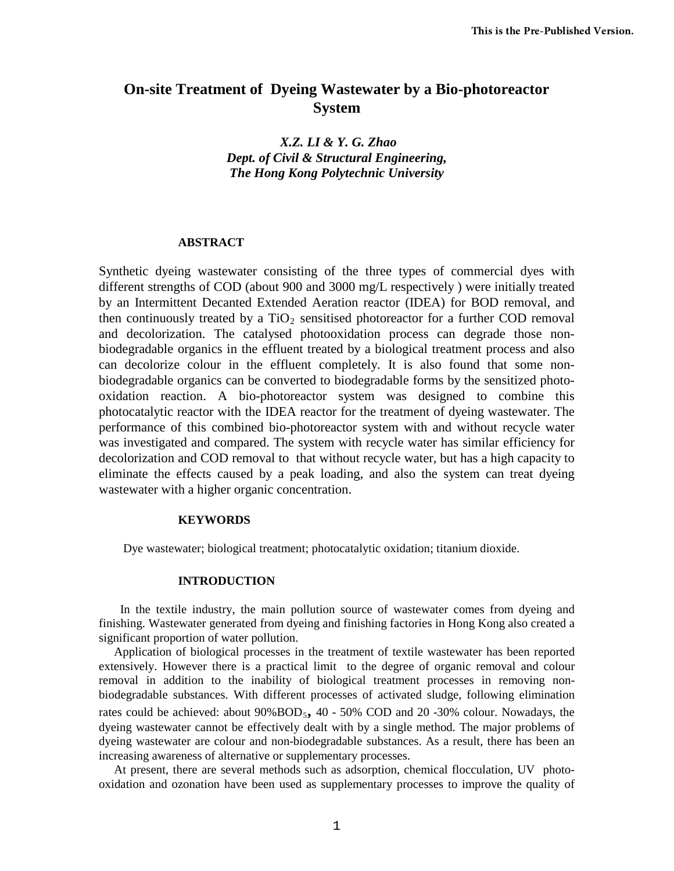# **On-site Treatment of Dyeing Wastewater by a Bio-photoreactor System**

## *X.Z. LI & Y. G. Zhao Dept. of Civil & Structural Engineering, The Hong Kong Polytechnic University*

#### **ABSTRACT**

Synthetic dyeing wastewater consisting of the three types of commercial dyes with different strengths of COD (about 900 and 3000 mg/L respectively ) were initially treated by an Intermittent Decanted Extended Aeration reactor (IDEA) for BOD removal, and then continuously treated by a  $TiO<sub>2</sub>$  sensitised photoreactor for a further COD removal and decolorization. The catalysed photooxidation process can degrade those nonbiodegradable organics in the effluent treated by a biological treatment process and also can decolorize colour in the effluent completely. It is also found that some nonbiodegradable organics can be converted to biodegradable forms by the sensitized photooxidation reaction. A bio-photoreactor system was designed to combine this photocatalytic reactor with the IDEA reactor for the treatment of dyeing wastewater. The performance of this combined bio-photoreactor system with and without recycle water was investigated and compared. The system with recycle water has similar efficiency for decolorization and COD removal to that without recycle water, but has a high capacity to eliminate the effects caused by a peak loading, and also the system can treat dyeing wastewater with a higher organic concentration.

#### **KEYWORDS**

Dye wastewater; biological treatment; photocatalytic oxidation; titanium dioxide.

#### **INTRODUCTION**

 In the textile industry, the main pollution source of wastewater comes from dyeing and finishing. Wastewater generated from dyeing and finishing factories in Hong Kong also created a significant proportion of water pollution.

 Application of biological processes in the treatment of textile wastewater has been reported extensively. However there is a practical limit to the degree of organic removal and colour removal in addition to the inability of biological treatment processes in removing nonbiodegradable substances. With different processes of activated sludge, following elimination rates could be achieved: about 90%BOD<sub>5</sub>, 40 - 50% COD and 20 -30% colour. Nowadays, the dyeing wastewater cannot be effectively dealt with by a single method. The major problems of dyeing wastewater are colour and non-biodegradable substances. As a result, there has been an increasing awareness of alternative or supplementary processes.

 At present, there are several methods such as adsorption, chemical flocculation, UV photooxidation and ozonation have been used as supplementary processes to improve the quality of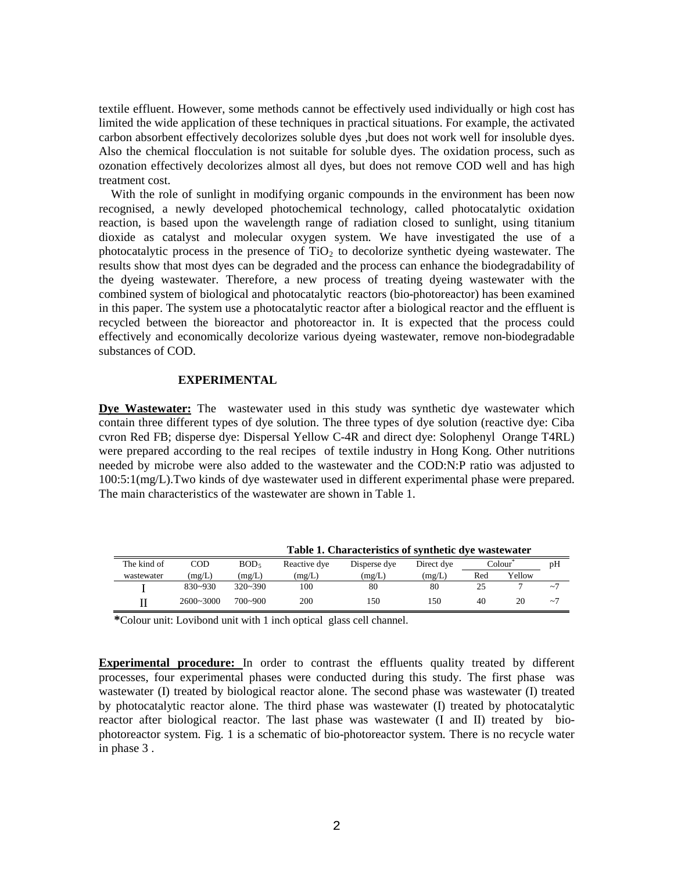textile effluent. However, some methods cannot be effectively used individually or high cost has limited the wide application of these techniques in practical situations. For example, the activated carbon absorbent effectively decolorizes soluble dyes ,but does not work well for insoluble dyes. Also the chemical flocculation is not suitable for soluble dyes. The oxidation process, such as ozonation effectively decolorizes almost all dyes, but does not remove COD well and has high treatment cost.

With the role of sunlight in modifying organic compounds in the environment has been now recognised, a newly developed photochemical technology, called photocatalytic oxidation reaction, is based upon the wavelength range of radiation closed to sunlight, using titanium dioxide as catalyst and molecular oxygen system. We have investigated the use of a photocatalytic process in the presence of  $TiO<sub>2</sub>$  to decolorize synthetic dyeing wastewater. The results show that most dyes can be degraded and the process can enhance the biodegradability of the dyeing wastewater. Therefore, a new process of treating dyeing wastewater with the combined system of biological and photocatalytic reactors (bio-photoreactor) has been examined in this paper. The system use a photocatalytic reactor after a biological reactor and the effluent is recycled between the bioreactor and photoreactor in. It is expected that the process could effectively and economically decolorize various dyeing wastewater, remove non-biodegradable substances of COD.

#### **EXPERIMENTAL**

**Dye Wastewater:** The wastewater used in this study was synthetic dye wastewater which contain three different types of dye solution. The three types of dye solution (reactive dye: Ciba cvron Red FB; disperse dye: Dispersal Yellow C-4R and direct dye: Solophenyl Orange T4RL) were prepared according to the real recipes of textile industry in Hong Kong. Other nutritions needed by microbe were also added to the wastewater and the COD:N:P ratio was adjusted to 100:5:1(mg/L).Two kinds of dye wastewater used in different experimental phase were prepared. The main characteristics of the wastewater are shown in Table 1.

|             |               |                  | Table 1. Characteristics of synthetic dye wastewater |              |            |        |        |             |  |
|-------------|---------------|------------------|------------------------------------------------------|--------------|------------|--------|--------|-------------|--|
| The kind of | $_{\rm COD}$  | BOD <sub>5</sub> | Reactive dye                                         | Disperse dye | Direct dve | Colour |        | pH          |  |
| wastewater  | (mg/L)        | (mg/L)           | (mg/L)                                               | (mg/L)       | (mg/L)     | Red    | Yellow |             |  |
|             | $830 - 930$   | $320 - 390$      | 100                                                  | 80           | 80         |        |        | $\sim$ 7    |  |
|             | $2600 - 3000$ | $700 - 900$      | 200                                                  | 150          | l 50       | 40     | 20     | $\sim$ $^7$ |  |

 **\***Colour unit: Lovibond unit with 1 inch optical glass cell channel.

**Experimental procedure:** In order to contrast the effluents quality treated by different processes, four experimental phases were conducted during this study. The first phase was wastewater (I) treated by biological reactor alone. The second phase was wastewater (I) treated by photocatalytic reactor alone. The third phase was wastewater (I) treated by photocatalytic reactor after biological reactor. The last phase was wastewater (I and II) treated by biophotoreactor system. Fig. 1 is a schematic of bio-photoreactor system. There is no recycle water in phase 3 .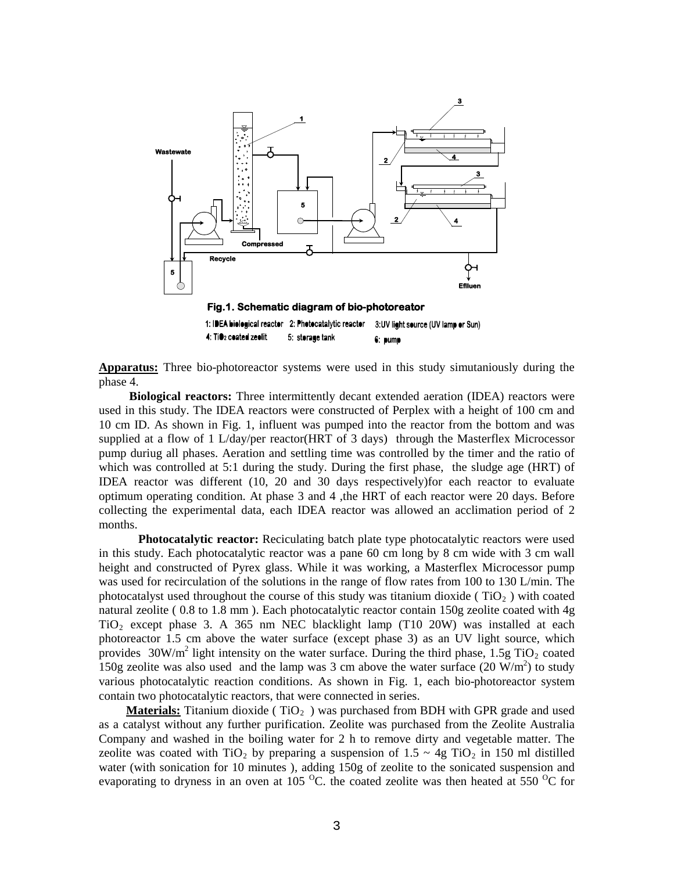

**Apparatus:** Three bio-photoreactor systems were used in this study simutaniously during the phase 4.

**Biological reactors:** Three intermittently decant extended aeration (IDEA) reactors were used in this study. The IDEA reactors were constructed of Perplex with a height of 100 cm and 10 cm ID. As shown in Fig. 1, influent was pumped into the reactor from the bottom and was supplied at a flow of 1 L/day/per reactor(HRT of 3 days) through the Masterflex Microcessor pump duriug all phases. Aeration and settling time was controlled by the timer and the ratio of which was controlled at 5:1 during the study. During the first phase, the sludge age (HRT) of IDEA reactor was different (10, 20 and 30 days respectively)for each reactor to evaluate optimum operating condition. At phase 3 and 4 ,the HRT of each reactor were 20 days. Before collecting the experimental data, each IDEA reactor was allowed an acclimation period of 2 months.

 **Photocatalytic reactor:** Reciculating batch plate type photocatalytic reactors were used in this study. Each photocatalytic reactor was a pane 60 cm long by 8 cm wide with 3 cm wall height and constructed of Pyrex glass. While it was working, a Masterflex Microcessor pump was used for recirculation of the solutions in the range of flow rates from 100 to 130 L/min. The photocatalyst used throughout the course of this study was titanium dioxide ( $TiO<sub>2</sub>$ ) with coated natural zeolite ( 0.8 to 1.8 mm ). Each photocatalytic reactor contain 150g zeolite coated with 4g  $TiO<sub>2</sub>$  except phase 3. A 365 nm NEC blacklight lamp (T10 20W) was installed at each photoreactor 1.5 cm above the water surface (except phase 3) as an UV light source, which provides  $30W/m^2$  light intensity on the water surface. During the third phase, 1.5g TiO<sub>2</sub> coated 150g zeolite was also used and the lamp was 3 cm above the water surface  $(20 \text{ W/m}^2)$  to study various photocatalytic reaction conditions. As shown in Fig. 1, each bio-photoreactor system contain two photocatalytic reactors, that were connected in series.

**Materials:** Titanium dioxide (TiO<sub>2</sub>) was purchased from BDH with GPR grade and used as a catalyst without any further purification. Zeolite was purchased from the Zeolite Australia Company and washed in the boiling water for 2 h to remove dirty and vegetable matter. The zeolite was coated with TiO<sub>2</sub> by preparing a suspension of  $1.5 \sim 4g$  TiO<sub>2</sub> in 150 ml distilled water (with sonication for 10 minutes ), adding 150g of zeolite to the sonicated suspension and evaporating to dryness in an oven at 105  $^{\circ}$ C. the coated zeolite was then heated at 550  $^{\circ}$ C for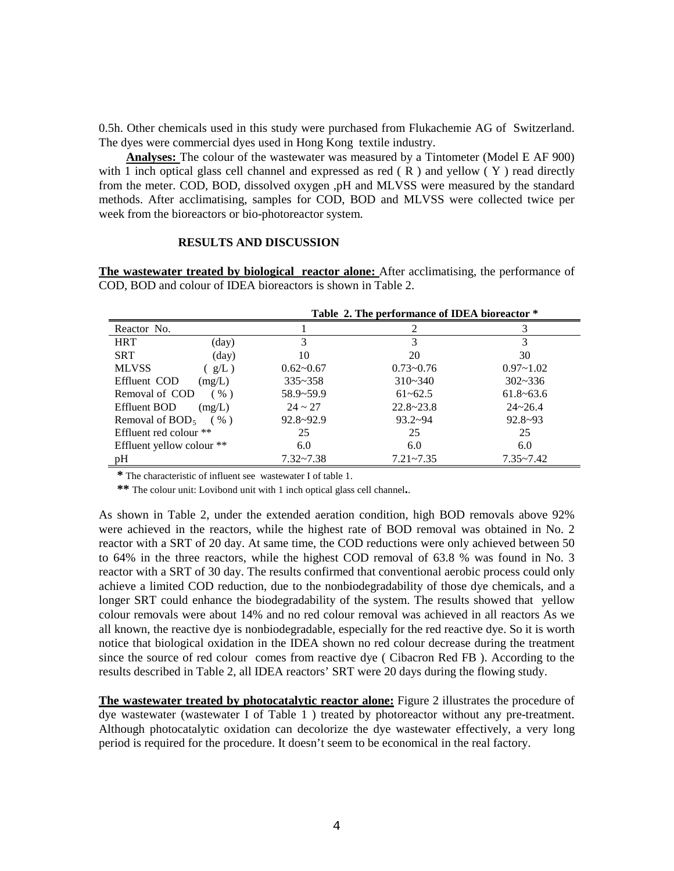0.5h. Other chemicals used in this study were purchased from Flukachemie AG of Switzerland. The dyes were commercial dyes used in Hong Kong textile industry.

 **Analyses:** The colour of the wastewater was measured by a Tintometer (Model E AF 900) with 1 inch optical glass cell channel and expressed as red  $(R)$  and yellow  $(Y)$  read directly from the meter. COD, BOD, dissolved oxygen ,pH and MLVSS were measured by the standard methods. After acclimatising, samples for COD, BOD and MLVSS were collected twice per week from the bioreactors or bio-photoreactor system.

#### **RESULTS AND DISCUSSION**

**The wastewater treated by biological reactor alone:** After acclimatising, the performance of COD, BOD and colour of IDEA bioreactors is shown in Table 2.

|                               |               | Table 2. The performance of IDEA bioreactor * |               |  |  |  |
|-------------------------------|---------------|-----------------------------------------------|---------------|--|--|--|
| Reactor No.                   |               |                                               | 3             |  |  |  |
| <b>HRT</b><br>(day)           | 3             |                                               | 3             |  |  |  |
| SRT<br>$\text{(day)}$         | 10            | 20                                            | 30            |  |  |  |
| <b>MLVSS</b><br>$g/L$ )       | $0.62 - 0.67$ | $0.73 - 0.76$                                 | $0.97 - 1.02$ |  |  |  |
| Effluent COD<br>(mg/L)        | $335 - 358$   | $310 - 340$                                   | $302 - 336$   |  |  |  |
| Removal of COD<br>( %)        | $58.9 - 59.9$ | $61 - 62.5$                                   | $61.8 - 63.6$ |  |  |  |
| <b>Effluent BOD</b><br>(mg/L) | $24 \sim 27$  | $22.8 - 23.8$                                 | $24 - 26.4$   |  |  |  |
| Removal of $BOD5$<br>$($ %)   | $92.8 - 92.9$ | $93.2 - 94$                                   | $92.8 - 93$   |  |  |  |
| Effluent red colour **        | 25            | 25                                            | 25            |  |  |  |
| Effluent yellow colour **     | 6.0           | 6.0                                           | 6.0           |  |  |  |
| pH                            | $7.32 - 7.38$ | $7.21 - 7.35$                                 | $7.35 - 7.42$ |  |  |  |

 **\*** The characteristic of influent see wastewater I of table 1.

 **\*\*** The colour unit: Lovibond unit with 1 inch optical glass cell channel**.**.

As shown in Table 2, under the extended aeration condition, high BOD removals above 92% were achieved in the reactors, while the highest rate of BOD removal was obtained in No. 2 reactor with a SRT of 20 day. At same time, the COD reductions were only achieved between 50 to 64% in the three reactors, while the highest COD removal of 63.8 % was found in No. 3 reactor with a SRT of 30 day. The results confirmed that conventional aerobic process could only achieve a limited COD reduction, due to the nonbiodegradability of those dye chemicals, and a longer SRT could enhance the biodegradability of the system. The results showed that yellow colour removals were about 14% and no red colour removal was achieved in all reactors As we all known, the reactive dye is nonbiodegradable, especially for the red reactive dye. So it is worth notice that biological oxidation in the IDEA shown no red colour decrease during the treatment since the source of red colour comes from reactive dye ( Cibacron Red FB ). According to the results described in Table 2, all IDEA reactors' SRT were 20 days during the flowing study.

**The wastewater treated by photocatalytic reactor alone:** Figure 2 illustrates the procedure of dye wastewater (wastewater I of Table 1 ) treated by photoreactor without any pre-treatment. Although photocatalytic oxidation can decolorize the dye wastewater effectively, a very long period is required for the procedure. It doesn't seem to be economical in the real factory.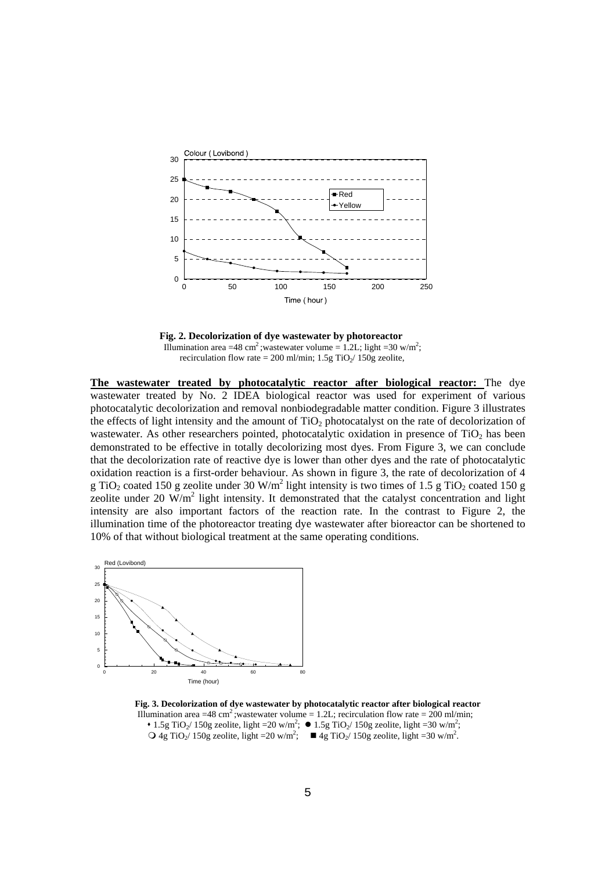

 **Fig. 2. Decolorization of dye wastewater by photoreactor**  Illumination area =48 cm<sup>2</sup>; wastewater volume = 1.2L; light =30 w/m<sup>2</sup>; recirculation flow rate = 200 ml/min;  $1.5g$  TiO<sub>2</sub>/ 150g zeolite,

**The wastewater treated by photocatalytic reactor after biological reactor:** The dye wastewater treated by No. 2 IDEA biological reactor was used for experiment of various photocatalytic decolorization and removal nonbiodegradable matter condition. Figure 3 illustrates the effects of light intensity and the amount of  $TiO<sub>2</sub>$  photocatalyst on the rate of decolorization of wastewater. As other researchers pointed, photocatalytic oxidation in presence of  $TiO<sub>2</sub>$  has been demonstrated to be effective in totally decolorizing most dyes. From Figure 3, we can conclude that the decolorization rate of reactive dye is lower than other dyes and the rate of photocatalytic oxidation reaction is a first-order behaviour. As shown in figure 3, the rate of decolorization of 4 g TiO<sub>2</sub> coated 150 g zeolite under 30 W/m<sup>2</sup> light intensity is two times of 1.5 g TiO<sub>2</sub> coated 150 g zeolite under 20  $\text{W/m}^2$  light intensity. It demonstrated that the catalyst concentration and light intensity are also important factors of the reaction rate. In the contrast to Figure 2, the illumination time of the photoreactor treating dye wastewater after bioreactor can be shortened to 10% of that without biological treatment at the same operating conditions.



 **Fig. 3. Decolorization of dye wastewater by photocatalytic reactor after biological reactor**  Illumination area =48 cm<sup>2</sup>; wastewater volume = 1.2L; recirculation flow rate = 200 ml/min; • 1.5g TiO<sub>2</sub>/ 150g zeolite, light =20 w/m<sup>2</sup>; • 1.5g TiO<sub>2</sub>/ 150g zeolite, light =30 w/m<sup>2</sup>;  $Q$  4g TiO<sub>2</sub>/ 150g zeolite, light =20 w/m<sup>2</sup>;  $\blacksquare$  4g TiO<sub>2</sub>/ 150g zeolite, light =30 w/m<sup>2</sup>.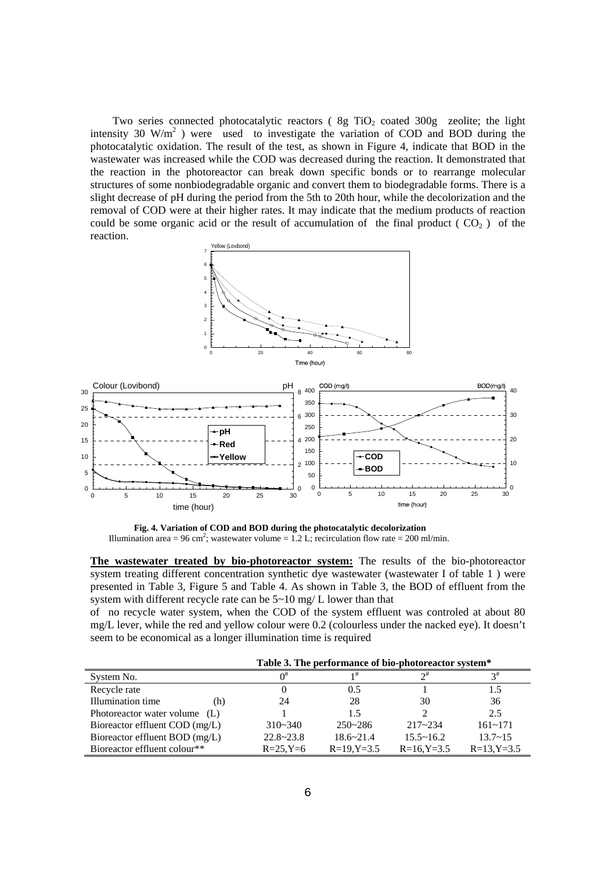Two series connected photocatalytic reactors ( $8g TiO<sub>2</sub>$  coated  $300g$  zeolite; the light intensity 30 W/m<sup>2</sup>) were used to investigate the variation of COD and BOD during the photocatalytic oxidation. The result of the test, as shown in Figure 4, indicate that BOD in the wastewater was increased while the COD was decreased during the reaction. It demonstrated that the reaction in the photoreactor can break down specific bonds or to rearrange molecular structures of some nonbiodegradable organic and convert them to biodegradable forms. There is a slight decrease of pH during the period from the 5th to 20th hour, while the decolorization and the removal of COD were at their higher rates. It may indicate that the medium products of reaction could be some organic acid or the result of accumulation of the final product ( $CO<sub>2</sub>$ ) of the reaction.



 **Fig. 4. Variation of COD and BOD during the photocatalytic decolorization**  Illumination area = 96 cm<sup>2</sup>; wastewater volume = 1.2 L; recirculation flow rate = 200 ml/min.

**The wastewater treated by bio-photoreactor system:** The results of the bio-photoreactor system treating different concentration synthetic dye wastewater (wastewater I of table 1 ) were presented in Table 3, Figure 5 and Table 4. As shown in Table 3, the BOD of effluent from the system with different recycle rate can be 5~10 mg/ L lower than that

of no recycle water system, when the COD of the system effluent was controled at about 80 mg/L lever, while the red and yellow colour were 0.2 (colourless under the nacked eye). It doesn't seem to be economical as a longer illumination time is required

|                                | Table 3. The performance of bio-photoreactor system* |                 |               |                    |               |
|--------------------------------|------------------------------------------------------|-----------------|---------------|--------------------|---------------|
| System No.                     |                                                      |                 |               |                    |               |
| Recycle rate                   |                                                      |                 | 0.5           |                    |               |
| Illumination time              | (h)                                                  | 24              | 28            | 30                 | 36            |
| Photoreactor water volume (L)  |                                                      |                 | 1.5           |                    | 2.5           |
| Bioreactor effluent COD (mg/L) |                                                      | $310 - 340$     | $250 - 286$   | $217 - 234$        | $161 - 171$   |
| Bioreactor effluent BOD (mg/L) |                                                      | $22.8 - 23.8$   | $18.6 - 21.4$ | $15.5 \times 16.2$ | $13.7 - 15$   |
| Bioreactor effluent colour**   |                                                      | $R = 25, Y = 6$ | $R=19, Y=3.5$ | $R = 16, Y = 3.5$  | $R=13, Y=3.5$ |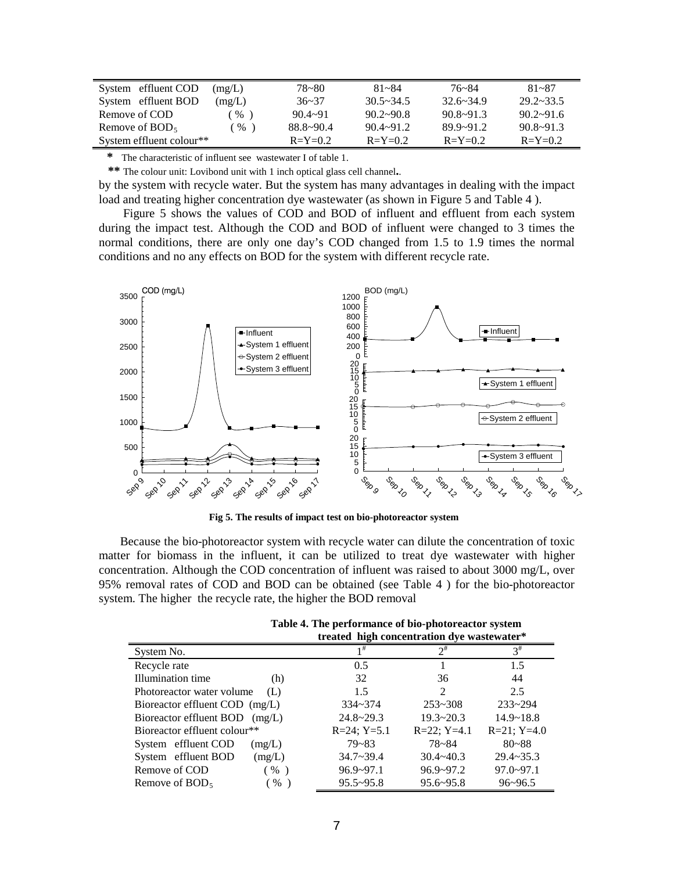| System effluent COD      | (mg/L) | 78~80         | $81 - 84$          | $76 - 84$     | $81 - 87$          |
|--------------------------|--------|---------------|--------------------|---------------|--------------------|
| System effluent BOD      | (mg/L) | $36 - 37$     | $30.5 \times 34.5$ | $32.6 - 34.9$ | $29.2 \times 33.5$ |
| Remove of COD            | $\%$   | $90.4 - 91$   | $90.2 - 90.8$      | $90.8 - 91.3$ | $90.2 \times 91.6$ |
| Remove of $BOD5$         | %      | $88.8 - 90.4$ | $90.4 \sim 91.2$   | $89.9 - 91.2$ | $90.8 - 91.3$      |
| System effluent colour** |        | $R = Y = 0.2$ | $R = Y = 0.2$      | $R = Y = 0.2$ | $R = Y = 0.2$      |

 **\*** The characteristic of influent see wastewater I of table 1.

 **\*\*** The colour unit: Lovibond unit with 1 inch optical glass cell channel**.**.

by the system with recycle water. But the system has many advantages in dealing with the impact load and treating higher concentration dye wastewater (as shown in Figure 5 and Table 4 ).

 Figure 5 shows the values of COD and BOD of influent and effluent from each system during the impact test. Although the COD and BOD of influent were changed to 3 times the normal conditions, there are only one day's COD changed from 1.5 to 1.9 times the normal conditions and no any effects on BOD for the system with different recycle rate.



 **Fig 5. The results of impact test on bio-photoreactor system**

 Because the bio-photoreactor system with recycle water can dilute the concentration of toxic matter for biomass in the influent, it can be utilized to treat dye wastewater with higher concentration. Although the COD concentration of influent was raised to about 3000 mg/L, over 95% removal rates of COD and BOD can be obtained (see Table 4 ) for the bio-photoreactor system. The higher the recycle rate, the higher the BOD removal

|                                   | treated high concentration dye wastewater* |               |                  |  |
|-----------------------------------|--------------------------------------------|---------------|------------------|--|
| System No.                        |                                            | $2^{\#}$      | $3^{\#}$         |  |
| Recycle rate                      | 0.5                                        |               | 1.5              |  |
| Illumination time<br>(h)          | 32                                         | 36            | 44               |  |
| Photoreactor water volume<br>(L)  | 1.5                                        | 2             | 2.5              |  |
| Bioreactor effluent COD (mg/L)    | $334 - 374$                                | $253 - 308$   | $233 - 294$      |  |
| Bioreactor effluent BOD<br>(mg/L) | $24.8 \times 29.3$                         | $19.3 - 20.3$ | $14.9 - 18.8$    |  |
| Bioreactor effluent colour**      | $R=24$ ; $Y=5.1$                           | $R=22; Y=4.1$ | $R=21$ ; $Y=4.0$ |  |
| System effluent COD<br>(mg/L)     | $79 - 83$                                  | 78~84         | $80 - 88$        |  |
| System effluent BOD<br>(mg/L)     | $34.7 - 39.4$                              | $30.4 - 40.3$ | $29.4 - 35.3$    |  |
| Remove of COD<br>$(\% )$          | $96.9 - 97.1$                              | $96.9 - 97.2$ | $97.0 - 97.1$    |  |
| Remove of $BOD5$<br>%             | $95.5 - 95.8$                              | $95.6 - 95.8$ | $96 - 96.5$      |  |

 **Table 4. The performance of bio-photoreactor system**